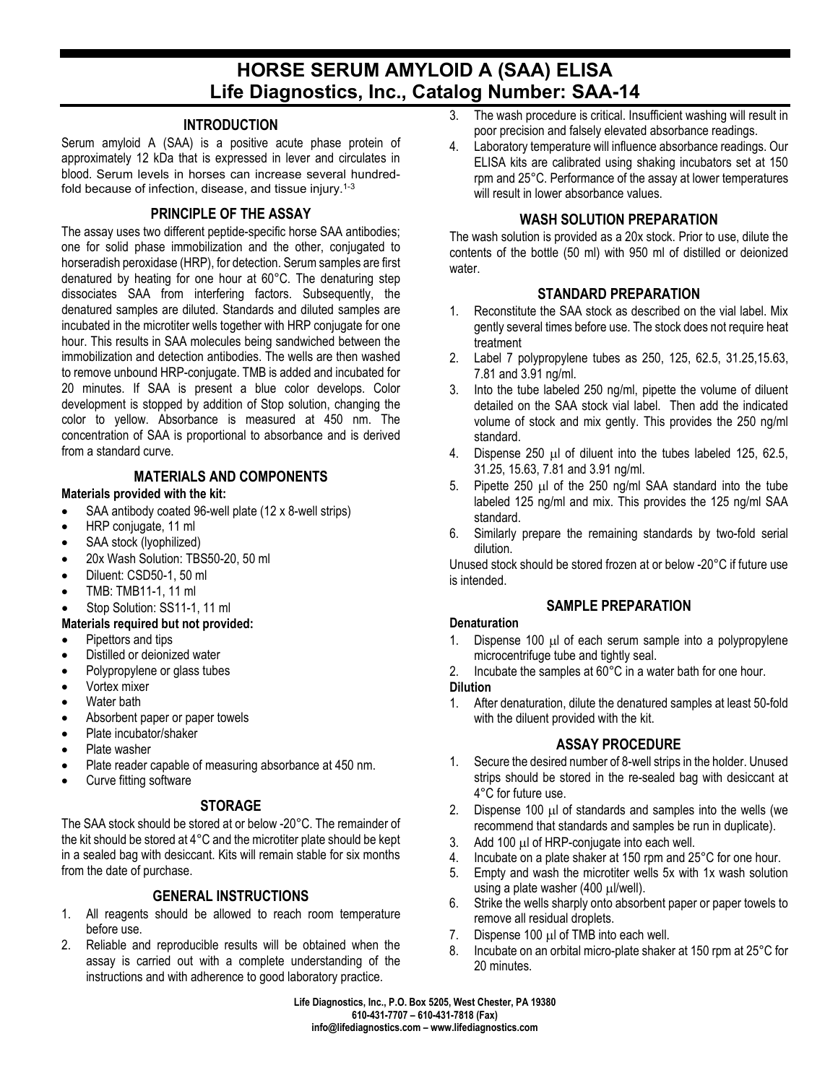# **HORSE SERUM AMYLOID A (SAA) ELISA Life Diagnostics, Inc., Catalog Number: SAA-14**

### **INTRODUCTION**

Serum amyloid A (SAA) is a positive acute phase protein of approximately 12 kDa that is expressed in lever and circulates in blood. Serum levels in horses can increase several hundredfold because of infection, disease, and tissue injury.<sup>1-3</sup>

## **PRINCIPLE OF THE ASSAY**

The assay uses two different peptide-specific horse SAA antibodies; one for solid phase immobilization and the other, conjugated to horseradish peroxidase (HRP), for detection. Serum samples are first denatured by heating for one hour at 60°C. The denaturing step dissociates SAA from interfering factors. Subsequently, the denatured samples are diluted. Standards and diluted samples are incubated in the microtiter wells together with HRP conjugate for one hour. This results in SAA molecules being sandwiched between the immobilization and detection antibodies. The wells are then washed to remove unbound HRP-conjugate. TMB is added and incubated for 20 minutes. If SAA is present a blue color develops. Color development is stopped by addition of Stop solution, changing the color to yellow. Absorbance is measured at 450 nm. The concentration of SAA is proportional to absorbance and is derived from a standard curve.

## **MATERIALS AND COMPONENTS**

### **Materials provided with the kit:**

- SAA antibody coated 96-well plate (12 x 8-well strips)
- HRP conjugate, 11 ml
- SAA stock (lyophilized)
- 20x Wash Solution: TBS50-20, 50 ml
- Diluent: CSD50-1, 50 ml
- TMB: TMB11-1, 11 ml
- Stop Solution: SS11-1, 11 ml

# **Materials required but not provided:**

- Pipettors and tips
- Distilled or deionized water
- Polypropylene or glass tubes
- Vortex mixer
- Water bath
- Absorbent paper or paper towels
- Plate incubator/shaker
- Plate washer
- Plate reader capable of measuring absorbance at 450 nm.
- Curve fitting software

# **STORAGE**

The SAA stock should be stored at or below -20°C. The remainder of the kit should be stored at 4°C and the microtiter plate should be kept in a sealed bag with desiccant. Kits will remain stable for six months from the date of purchase.

# **GENERAL INSTRUCTIONS**

- 1. All reagents should be allowed to reach room temperature before use.
- 2. Reliable and reproducible results will be obtained when the assay is carried out with a complete understanding of the instructions and with adherence to good laboratory practice.
- 3. The wash procedure is critical. Insufficient washing will result in poor precision and falsely elevated absorbance readings.
- 4. Laboratory temperature will influence absorbance readings. Our ELISA kits are calibrated using shaking incubators set at 150 rpm and 25°C. Performance of the assay at lower temperatures will result in lower absorbance values.

# **WASH SOLUTION PREPARATION**

The wash solution is provided as a 20x stock. Prior to use, dilute the contents of the bottle (50 ml) with 950 ml of distilled or deionized water.

# **STANDARD PREPARATION**

- 1. Reconstitute the SAA stock as described on the vial label. Mix gently several times before use. The stock does not require heat treatment
- 2. Label 7 polypropylene tubes as 250, 125, 62.5, 31.25,15.63, 7.81 and 3.91 ng/ml.
- 3. Into the tube labeled 250 ng/ml, pipette the volume of diluent detailed on the SAA stock vial label. Then add the indicated volume of stock and mix gently. This provides the 250 ng/ml standard.
- 4. Dispense 250 µl of diluent into the tubes labeled 125, 62.5, 31.25, 15.63, 7.81 and 3.91 ng/ml.
- 5. Pipette 250 µl of the 250 ng/ml SAA standard into the tube labeled 125 ng/ml and mix. This provides the 125 ng/ml SAA standard.
- 6. Similarly prepare the remaining standards by two-fold serial dilution.

Unused stock should be stored frozen at or below -20°C if future use is intended.

# **SAMPLE PREPARATION**

### **Denaturation**

- 1. Dispense 100 µl of each serum sample into a polypropylene microcentrifuge tube and tightly seal.
- 2. Incubate the samples at 60°C in a water bath for one hour.

### **Dilution**

1. After denaturation, dilute the denatured samples at least 50-fold with the diluent provided with the kit.

## **ASSAY PROCEDURE**

- 1. Secure the desired number of 8-well strips in the holder. Unused strips should be stored in the re-sealed bag with desiccant at 4°C for future use.
- 2. Dispense 100 µl of standards and samples into the wells (we recommend that standards and samples be run in duplicate).
- 3. Add 100 µl of HRP-conjugate into each well.
- 4. Incubate on a plate shaker at 150 rpm and 25°C for one hour.
- 5. Empty and wash the microtiter wells 5x with 1x wash solution using a plate washer (400 µl/well).
- 6. Strike the wells sharply onto absorbent paper or paper towels to remove all residual droplets.
- 7. Dispense 100 µl of TMB into each well.
- 8. Incubate on an orbital micro-plate shaker at 150 rpm at 25°C for 20 minutes.

**Life Diagnostics, Inc., P.O. Box 5205, West Chester, PA 19380 610-431-7707 – 610-431-7818 (Fax) info@lifediagnostics.com – www.lifediagnostics.com**